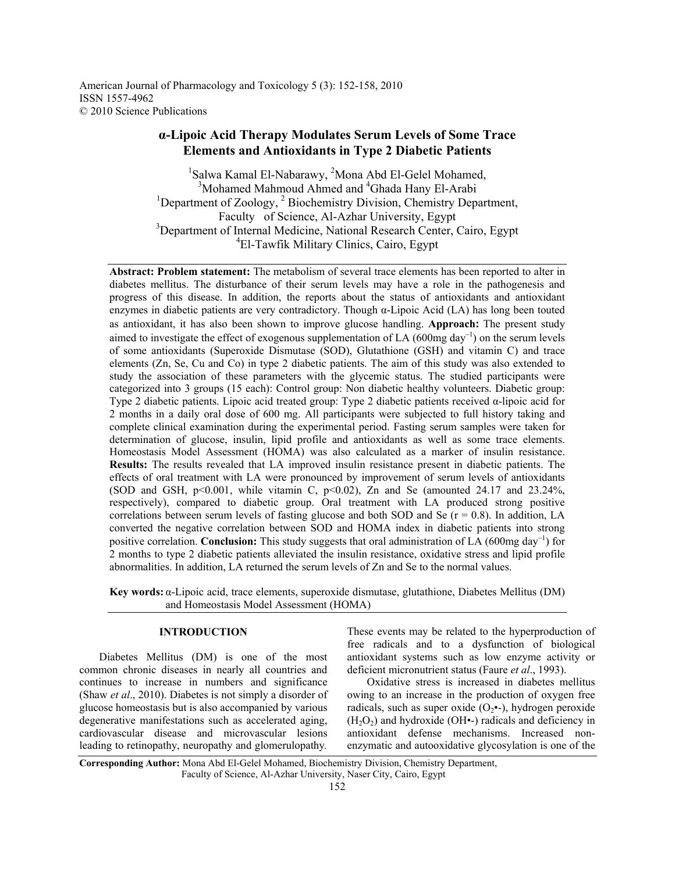American Journal of Pharmacology and Toxicology 5 (3): 152-158, 2010 ISSN 1557-4962 © 2010 Science Publications

# **α-Lipoic Acid Therapy Modulates Serum Levels of Some Trace Elements and Antioxidants in Type 2 Diabetic Patients**

<sup>1</sup>Salwa Kamal El-Nabarawy, <sup>2</sup>Mona Abd El-Gelel Mohamed, <sup>3</sup>Mohamed Mahmoud Ahmed and <sup>4</sup>Ghada Hany El-Arabi <sup>1</sup>Department of Zoology, <sup>2</sup> Biochemistry Division, Chemistry Department, Faculty of Science, Al-Azhar University, Egypt <sup>3</sup>Department of Internal Medicine, National Research Center, Cairo, Egypt 4 El-Tawfik Military Clinics, Cairo, Egypt

**Abstract: Problem statement:** The metabolism of several trace elements has been reported to alter in diabetes mellitus. The disturbance of their serum levels may have a role in the pathogenesis and progress of this disease. In addition, the reports about the status of antioxidants and antioxidant enzymes in diabetic patients are very contradictory. Though α-Lipoic Acid (LA) has long been touted as antioxidant, it has also been shown to improve glucose handling. **Approach:** The present study aimed to investigate the effect of exogenous supplementation of LA (600mg day<sup>-1</sup>) on the serum levels of some antioxidants (Superoxide Dismutase (SOD), Glutathione (GSH) and vitamin C) and trace elements (Zn, Se, Cu and Co) in type 2 diabetic patients. The aim of this study was also extended to study the association of these parameters with the glycemic status. The studied participants were categorized into 3 groups (15 each): Control group: Non diabetic healthy volunteers. Diabetic group: Type 2 diabetic patients. Lipoic acid treated group: Type 2 diabetic patients received α-lipoic acid for 2 months in a daily oral dose of 600 mg. All participants were subjected to full history taking and complete clinical examination during the experimental period. Fasting serum samples were taken for determination of glucose, insulin, lipid profile and antioxidants as well as some trace elements. Homeostasis Model Assessment (HOMA) was also calculated as a marker of insulin resistance. **Results:** The results revealed that LA improved insulin resistance present in diabetic patients. The effects of oral treatment with LA were pronounced by improvement of serum levels of antioxidants (SOD and GSH,  $p<0.001$ , while vitamin C,  $p<0.02$ ), Zn and Se (amounted 24.17 and 23.24%, respectively), compared to diabetic group. Oral treatment with LA produced strong positive correlations between serum levels of fasting glucose and both SOD and Se  $(r = 0.8)$ . In addition, LA converted the negative correlation between SOD and HOMA index in diabetic patients into strong positive correlation. **Conclusion:** This study suggests that oral administration of LA (600mg day−1) for 2 months to type 2 diabetic patients alleviated the insulin resistance, oxidative stress and lipid profile abnormalities. In addition, LA returned the serum levels of Zn and Se to the normal values.

**Key words:** α-Lipoic acid, trace elements, superoxide dismutase, glutathione, Diabetes Mellitus (DM) and Homeostasis Model Assessment (HOMA)

# **INTRODUCTION**

 Diabetes Mellitus (DM) is one of the most common chronic diseases in nearly all countries and continues to increase in numbers and significance (Shaw *et al*., 2010). Diabetes is not simply a disorder of glucose homeostasis but is also accompanied by various degenerative manifestations such as accelerated aging, cardiovascular disease and microvascular lesions leading to retinopathy, neuropathy and glomerulopathy*.* 

These events may be related to the hyperproduction of free radicals and to a dysfunction of biological antioxidant systems such as low enzyme activity or deficient micronutrient status (Faure *et al*., 1993).

 Oxidative stress is increased in diabetes mellitus owing to an increase in the production of oxygen free radicals, such as super oxide  $(O_2 \bullet)$ , hydrogen peroxide  $(H<sub>2</sub>O<sub>2</sub>)$  and hydroxide (OH $\bullet$ -) radicals and deficiency in antioxidant defense mechanisms. Increased nonenzymatic and autooxidative glycosylation is one of the

**Corresponding Author:** Mona Abd El-Gelel Mohamed, Biochemistry Division, Chemistry Department, Faculty of Science, Al-Azhar University, Naser City, Cairo, Egypt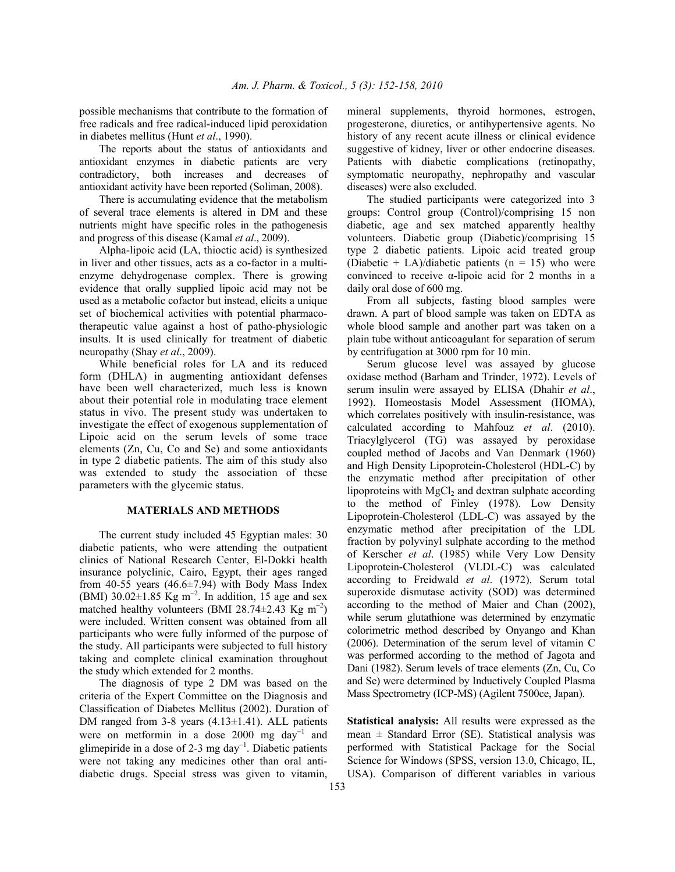possible mechanisms that contribute to the formation of free radicals and free radical-induced lipid peroxidation in diabetes mellitus (Hunt *et al*., 1990).

 The reports about the status of antioxidants and antioxidant enzymes in diabetic patients are very contradictory, both increases and decreases of antioxidant activity have been reported (Soliman, 2008).

 There is accumulating evidence that the metabolism of several trace elements is altered in DM and these nutrients might have specific roles in the pathogenesis and progress of this disease (Kamal *et al*., 2009).

 Alpha-lipoic acid (LA, thioctic acid) is synthesized in liver and other tissues, acts as a co-factor in a multienzyme dehydrogenase complex. There is growing evidence that orally supplied lipoic acid may not be used as a metabolic cofactor but instead, elicits a unique set of biochemical activities with potential pharmacotherapeutic value against a host of patho-physiologic insults. It is used clinically for treatment of diabetic neuropathy (Shay *et al*., 2009).

 While beneficial roles for LA and its reduced form (DHLA) in augmenting antioxidant defenses have been well characterized, much less is known about their potential role in modulating trace element status in vivo. The present study was undertaken to investigate the effect of exogenous supplementation of Lipoic acid on the serum levels of some trace elements (Zn, Cu, Co and Se) and some antioxidants in type 2 diabetic patients. The aim of this study also was extended to study the association of these parameters with the glycemic status.

## **MATERIALS AND METHODS**

The current study included 45 Egyptian males: 30 diabetic patients, who were attending the outpatient clinics of National Research Center, El-Dokki health insurance polyclinic, Cairo, Egypt, their ages ranged from 40-55 years  $(46.6\pm7.94)$  with Body Mass Index (BMI)  $30.02 \pm 1.85$  Kg m<sup>-2</sup>. In addition, 15 age and sex matched healthy volunteers (BMI 28.74 $\pm$ 2.43 Kg m<sup>-2</sup>) were included. Written consent was obtained from all participants who were fully informed of the purpose of the study. All participants were subjected to full history taking and complete clinical examination throughout the study which extended for 2 months.

 The diagnosis of type 2 DM was based on the criteria of the Expert Committee on the Diagnosis and Classification of Diabetes Mellitus (2002). Duration of DM ranged from 3-8 years (4.13±1.41). ALL patients were on metformin in a dose 2000 mg day<sup>-1</sup> and glimepiride in a dose of 2-3 mg day<sup>-1</sup>. Diabetic patients were not taking any medicines other than oral antidiabetic drugs. Special stress was given to vitamin, mineral supplements, thyroid hormones, estrogen, progesterone, diuretics, or antihypertensive agents. No history of any recent acute illness or clinical evidence suggestive of kidney, liver or other endocrine diseases. Patients with diabetic complications (retinopathy, symptomatic neuropathy, nephropathy and vascular diseases) were also excluded.

 The studied participants were categorized into 3 groups: Control group (Control)/comprising 15 non diabetic, age and sex matched apparently healthy volunteers. Diabetic group (Diabetic)/comprising 15 type 2 diabetic patients. Lipoic acid treated group (Diabetic + LA)/diabetic patients ( $n = 15$ ) who were convinced to receive α-lipoic acid for 2 months in a daily oral dose of 600 mg.

 From all subjects, fasting blood samples were drawn. A part of blood sample was taken on EDTA as whole blood sample and another part was taken on a plain tube without anticoagulant for separation of serum by centrifugation at 3000 rpm for 10 min.

 Serum glucose level was assayed by glucose oxidase method (Barham and Trinder, 1972). Levels of serum insulin were assayed by ELISA (Dhahir *et al*., 1992). Homeostasis Model Assessment (HOMA), which correlates positively with insulin-resistance, was calculated according to Mahfouz *et al*. (2010). Triacylglycerol (TG) was assayed by peroxidase coupled method of Jacobs and Van Denmark (1960) and High Density Lipoprotein-Cholesterol (HDL-C) by the enzymatic method after precipitation of other lipoproteins with  $MgCl<sub>2</sub>$  and dextran sulphate according to the method of Finley (1978). Low Density Lipoprotein-Cholesterol (LDL-C) was assayed by the enzymatic method after precipitation of the LDL fraction by polyvinyl sulphate according to the method of Kerscher *et al*. (1985) while Very Low Density Lipoprotein-Cholesterol (VLDL-C) was calculated according to Freidwald *et al*. (1972). Serum total superoxide dismutase activity (SOD) was determined according to the method of Maier and Chan (2002), while serum glutathione was determined by enzymatic colorimetric method described by Onyango and Khan (2006). Determination of the serum level of vitamin C was performed according to the method of Jagota and Dani (1982). Serum levels of trace elements (Zn, Cu, Co and Se) were determined by Inductively Coupled Plasma Mass Spectrometry (ICP-MS) (Agilent 7500ce, Japan).

**Statistical analysis:** All results were expressed as the mean  $\pm$  Standard Error (SE). Statistical analysis was performed with Statistical Package for the Social Science for Windows (SPSS, version 13.0, Chicago, IL, USA). Comparison of different variables in various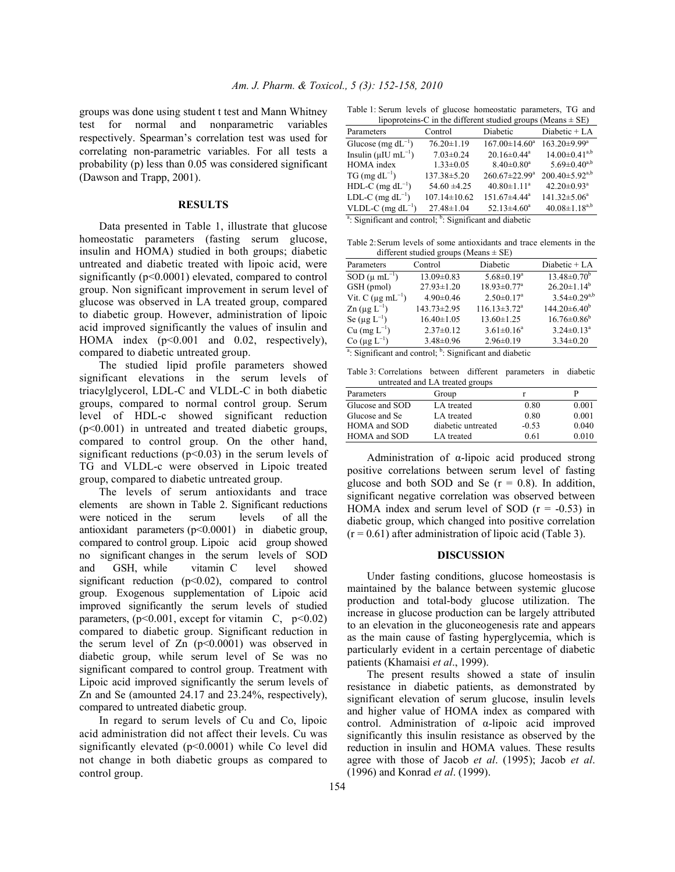groups was done using student t test and Mann Whitney test for normal and nonparametric variables respectively. Spearman's correlation test was used for correlating non-parametric variables. For all tests a probability (p) less than 0.05 was considered significant (Dawson and Trapp, 2001).

#### **RESULTS**

 Data presented in Table 1, illustrate that glucose homeostatic parameters (fasting serum glucose, insulin and HOMA) studied in both groups; diabetic untreated and diabetic treated with lipoic acid, were significantly (p<0.0001) elevated, compared to control group. Non significant improvement in serum level of glucose was observed in LA treated group, compared to diabetic group. However, administration of lipoic acid improved significantly the values of insulin and HOMA index (p<0.001 and 0.02, respectively), compared to diabetic untreated group.

 The studied lipid profile parameters showed significant elevations in the serum levels of triacylglycerol, LDL-C and VLDL-C in both diabetic groups, compared to normal control group. Serum level of HDL-c showed significant reduction (p<0.001) in untreated and treated diabetic groups, compared to control group. On the other hand, significant reductions  $(p<0.03)$  in the serum levels of TG and VLDL-c were observed in Lipoic treated group, compared to diabetic untreated group.

 The levels of serum antioxidants and trace elements are shown in Table 2. Significant reductions were noticed in the serum levels of all the antioxidant parameters (p<0.0001) in diabetic group, compared to control group. Lipoic acid group showed no significant changes in the serum levels of SOD and GSH, while vitamin C level showed significant reduction  $(p<0.02)$ , compared to control group. Exogenous supplementation of Lipoic acid improved significantly the serum levels of studied parameters,  $(p<0.001$ , except for vitamin C,  $p<0.02$ ) compared to diabetic group. Significant reduction in the serum level of  $Zn$  ( $p<0.0001$ ) was observed in diabetic group, while serum level of Se was no significant compared to control group. Treatment with Lipoic acid improved significantly the serum levels of Zn and Se (amounted 24.17 and 23.24%, respectively), compared to untreated diabetic group.

 In regard to serum levels of Cu and Co, lipoic acid administration did not affect their levels. Cu was significantly elevated (p<0.0001) while Co level did not change in both diabetic groups as compared to control group.

Table 1: Serum levels of glucose homeostatic parameters, TG and

| lipoproteins-C in the different studied groups (Means $\pm$ SE) |                    |                               |                                |  |  |  |
|-----------------------------------------------------------------|--------------------|-------------------------------|--------------------------------|--|--|--|
| Parameters                                                      | Control            | Diabetic                      | Diabetic + LA                  |  |  |  |
| Glucose (mg $dL^{-1}$ )                                         | $76.20 \pm 1.19$   | $167.00 \pm 14.60^a$          | $163.20 \pm 9.99$ <sup>a</sup> |  |  |  |
| Insulin ( $\mu$ IU mL <sup>-1</sup> )                           | $7.03 \pm 0.24$    | $20.16 \pm 0.44$ <sup>a</sup> | $14.00 \pm 0.41^{a,b}$         |  |  |  |
| <b>HOMA</b> index                                               | $1.33 \pm 0.05$    | $8.40 \pm 0.80$ <sup>a</sup>  | $5.69 \pm 0.40^{a,b}$          |  |  |  |
| $TG$ (mg $dL^{-1}$ )                                            | 137.38±5.20        | $260.67 \pm 22.99^a$          | $200.40 \pm 5.92^{a,b}$        |  |  |  |
| HDL-C (mg $dL^{-1}$ )                                           | $54.60 \pm 4.25$   | $40.80 \pm 1.11$ <sup>a</sup> | $42.20 \pm 0.93$ <sup>a</sup>  |  |  |  |
| LDL-C (mg $dL^{-1}$ )                                           | $107.14 \pm 10.62$ | 151.67±4.44 <sup>a</sup>      | $141.32 \pm 5.06^a$            |  |  |  |
| VLDL-C (mg $dL^{-1}$ )                                          | $27.48 \pm 1.04$   | $52.13 \pm 4.60^a$            | $40.08 \pm 1.18^{a,b}$         |  |  |  |
|                                                                 |                    |                               |                                |  |  |  |

<sup>a</sup>: Significant and control;  $\overline{b}$ : Significant and diabetic

Table 2: Serum levels of some antioxidants and trace elements in the different studied groups (Means + SE)

| Parameters                                                                      | Control          | Diabetic                       | Diabetic + LA                |  |  |
|---------------------------------------------------------------------------------|------------------|--------------------------------|------------------------------|--|--|
| $SOD (µ mL-1)$                                                                  | $13.09 \pm 0.83$ | $5.68 \pm 0.19^a$              | $13.48 \pm 0.70^b$           |  |  |
| GSH (pmol)                                                                      | $27.93 \pm 1.20$ | $18.93 \pm 0.77$ <sup>a</sup>  | $26.20 \pm 1.14^b$           |  |  |
| Vit. C ( $\mu$ g mL <sup>-1</sup> )                                             | $4.90 \pm 0.46$  | $2.50 \pm 0.17$ <sup>a</sup>   | $3.54 \pm 0.29^{a,b}$        |  |  |
| $\text{Zn}$ (µg $\text{L}^{-1}$ )                                               | 143.73±2.95      | $116.13 \pm 3.72$ <sup>a</sup> | $144.20 \pm 6.40^b$          |  |  |
| Se $(\mu g L^{-1})$                                                             | $16.40 \pm 1.05$ | $13.60 \pm 1.25$               | $16.76 \pm 0.86^b$           |  |  |
| $Cu$ (mg $L^{-1}$ )                                                             | $2.37 \pm 0.12$  | $3.61 \pm 0.16^a$              | $3.24 \pm 0.13$ <sup>a</sup> |  |  |
| Co $(\mu g L^{-1})$                                                             | $3.48 \pm 0.96$  | $2.96 \pm 0.19$                | $3.34 \pm 0.20$              |  |  |
| <sup>a</sup> : Significant and control; <sup>b</sup> : Significant and diabetic |                  |                                |                              |  |  |

Table 3: Correlations between different parameters in diabetic untreated and LA treated groups

| Group              |         |       |
|--------------------|---------|-------|
| LA treated         | 0.80    | 0.001 |
| LA treated         | 0.80    | 0.001 |
| diabetic untreated | $-0.53$ | 0.040 |
| LA treated         | 0.61    | 0.010 |
|                    |         |       |

 Administration of α-lipoic acid produced strong positive correlations between serum level of fasting glucose and both SOD and Se  $(r = 0.8)$ . In addition, significant negative correlation was observed between HOMA index and serum level of SOD  $(r = -0.53)$  in diabetic group, which changed into positive correlation  $(r = 0.61)$  after administration of lipoic acid (Table 3).

#### **DISCUSSION**

 Under fasting conditions, glucose homeostasis is maintained by the balance between systemic glucose production and total-body glucose utilization. The increase in glucose production can be largely attributed to an elevation in the gluconeogenesis rate and appears as the main cause of fasting hyperglycemia, which is particularly evident in a certain percentage of diabetic patients (Khamaisi *et al*., 1999).

 The present results showed a state of insulin resistance in diabetic patients, as demonstrated by significant elevation of serum glucose, insulin levels and higher value of HOMA index as compared with control. Administration of α-lipoic acid improved significantly this insulin resistance as observed by the reduction in insulin and HOMA values. These results agree with those of Jacob *et al*. (1995); Jacob *et al*. (1996) and Konrad *et al*. (1999).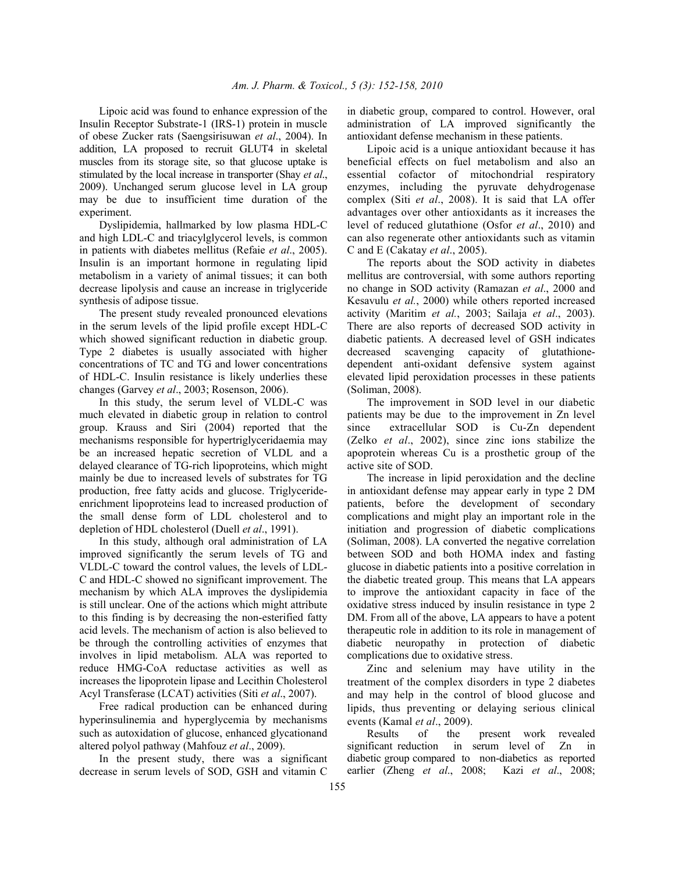Lipoic acid was found to enhance expression of the Insulin Receptor Substrate-1 (IRS-1) protein in muscle of obese Zucker rats (Saengsirisuwan *et al*., 2004). In addition, LA proposed to recruit GLUT4 in skeletal muscles from its storage site, so that glucose uptake is stimulated by the local increase in transporter (Shay *et al*., 2009). Unchanged serum glucose level in LA group may be due to insufficient time duration of the experiment.

 Dyslipidemia, hallmarked by low plasma HDL-C and high LDL-C and triacylglycerol levels, is common in patients with diabetes mellitus (Refaie *et al*., 2005). Insulin is an important hormone in regulating lipid metabolism in a variety of animal tissues; it can both decrease lipolysis and cause an increase in triglyceride synthesis of adipose tissue.

 The present study revealed pronounced elevations in the serum levels of the lipid profile except HDL-C which showed significant reduction in diabetic group. Type 2 diabetes is usually associated with higher concentrations of TC and TG and lower concentrations of HDL-C. Insulin resistance is likely underlies these changes (Garvey *et al*., 2003; Rosenson, 2006).

 In this study, the serum level of VLDL-C was much elevated in diabetic group in relation to control group. Krauss and Siri (2004) reported that the mechanisms responsible for hypertriglyceridaemia may be an increased hepatic secretion of VLDL and a delayed clearance of TG-rich lipoproteins, which might mainly be due to increased levels of substrates for TG production, free fatty acids and glucose. Triglycerideenrichment lipoproteins lead to increased production of the small dense form of LDL cholesterol and to depletion of HDL cholesterol (Duell *et al*., 1991).

 In this study, although oral administration of LA improved significantly the serum levels of TG and VLDL-C toward the control values, the levels of LDL-C and HDL-C showed no significant improvement. The mechanism by which ALA improves the dyslipidemia is still unclear. One of the actions which might attribute to this finding is by decreasing the non-esterified fatty acid levels. The mechanism of action is also believed to be through the controlling activities of enzymes that involves in lipid metabolism. ALA was reported to reduce HMG-CoA reductase activities as well as increases the lipoprotein lipase and Lecithin Cholesterol Acyl Transferase (LCAT) activities (Siti *et al*., 2007).

 Free radical production can be enhanced during hyperinsulinemia and hyperglycemia by mechanisms such as autoxidation of glucose, enhanced glycationand altered polyol pathway (Mahfouz *et al*., 2009).

 In the present study, there was a significant decrease in serum levels of SOD, GSH and vitamin C in diabetic group, compared to control. However, oral administration of LA improved significantly the antioxidant defense mechanism in these patients.

 Lipoic acid is a unique antioxidant because it has beneficial effects on fuel metabolism and also an essential cofactor of mitochondrial respiratory enzymes, including the pyruvate dehydrogenase complex (Siti *et al*., 2008). It is said that LA offer advantages over other antioxidants as it increases the level of reduced glutathione (Osfor *et al*., 2010) and can also regenerate other antioxidants such as vitamin C and E (Cakatay *et al*., 2005).

 The reports about the SOD activity in diabetes mellitus are controversial, with some authors reporting no change in SOD activity (Ramazan *et al*., 2000 and Kesavulu *et al.*, 2000) while others reported increased activity (Maritim *et al.*, 2003; Sailaja *et al*., 2003). There are also reports of decreased SOD activity in diabetic patients. A decreased level of GSH indicates decreased scavenging capacity of glutathionedependent anti-oxidant defensive system against elevated lipid peroxidation processes in these patients (Soliman, 2008).

 The improvement in SOD level in our diabetic patients may be due to the improvement in Zn level since extracellular SOD is Cu-Zn dependent (Zelko *et al*., 2002), since zinc ions stabilize the apoprotein whereas Cu is a prosthetic group of the active site of SOD.

 The increase in lipid peroxidation and the decline in antioxidant defense may appear early in type 2 DM patients, before the development of secondary complications and might play an important role in the initiation and progression of diabetic complications (Soliman, 2008). LA converted the negative correlation between SOD and both HOMA index and fasting glucose in diabetic patients into a positive correlation in the diabetic treated group. This means that LA appears to improve the antioxidant capacity in face of the oxidative stress induced by insulin resistance in type 2 DM. From all of the above, LA appears to have a potent therapeutic role in addition to its role in management of diabetic neuropathy in protection of diabetic complications due to oxidative stress.

 Zinc and selenium may have utility in the treatment of the complex disorders in type 2 diabetes and may help in the control of blood glucose and lipids, thus preventing or delaying serious clinical events (Kamal *et al*., 2009).

 Results of the present work revealed significant reduction in serum level of Zn in diabetic group compared to non-diabetics as reported earlier (Zheng *et al*., 2008; Kazi *et al*., 2008;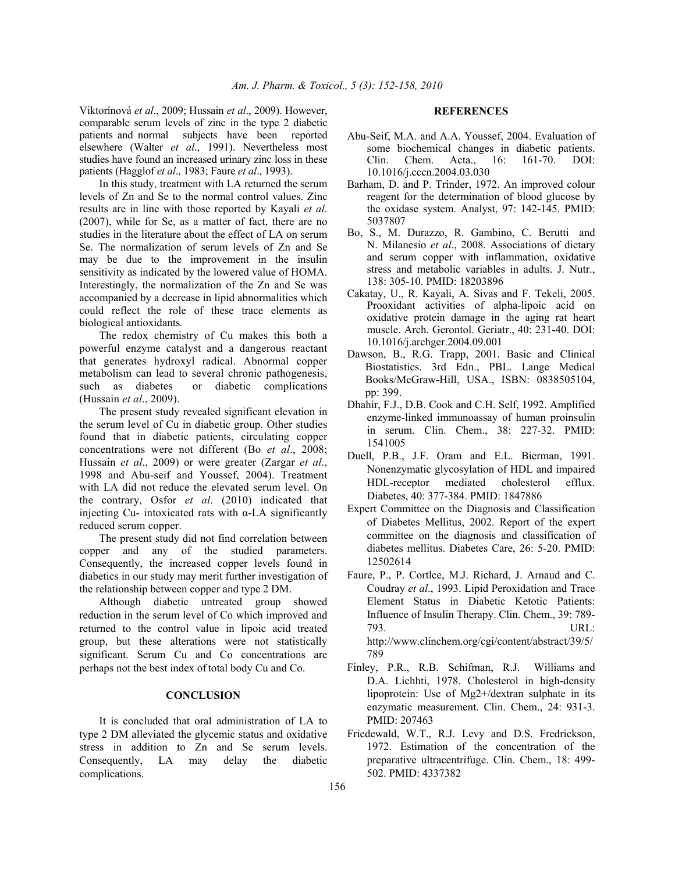Viktorínová *et al*., 2009; Hussain *et al*., 2009). However, comparable serum levels of zinc in the type 2 diabetic patients and normal subjects have been reported elsewhere (Walter *et al*., 1991). Nevertheless most studies have found an increased urinary zinc loss in these patients (Hagglof *et al*., 1983; Faure *et al*., 1993).

 In this study, treatment with LA returned the serum levels of Zn and Se to the normal control values. Zinc results are in line with those reported by Kayali *et al*. (2007), while for Se, as a matter of fact, there are no studies in the literature about the effect of LA on serum Se. The normalization of serum levels of Zn and Se may be due to the improvement in the insulin sensitivity as indicated by the lowered value of HOMA. Interestingly, the normalization of the Zn and Se was accompanied by a decrease in lipid abnormalities which could reflect the role of these trace elements as biological antioxidants*.* 

 The redox chemistry of Cu makes this both a powerful enzyme catalyst and a dangerous reactant that generates hydroxyl radical. Abnormal copper metabolism can lead to several chronic pathogenesis, such as diabetes or diabetic complications (Hussain *et al*., 2009).

 The present study revealed significant elevation in the serum level of Cu in diabetic group. Other studies found that in diabetic patients, circulating copper concentrations were not different (Bo *et al*., 2008; Hussain *et al*., 2009) or were greater (Zargar *et al*., 1998 and Abu-seif and Youssef, 2004). Treatment with LA did not reduce the elevated serum level. On the contrary, Osfor *et al*. (2010) indicated that injecting Cu- intoxicated rats with  $\alpha$ -LA significantly reduced serum copper.

 The present study did not find correlation between copper and any of the studied parameters. Consequently, the increased copper levels found in diabetics in our study may merit further investigation of the relationship between copper and type 2 DM.

 Although diabetic untreated group showed reduction in the serum level of Co which improved and returned to the control value in lipoic acid treated group, but these alterations were not statistically significant. Serum Cu and Co concentrations are perhaps not the best index oftotal body Cu and Co.

### **CONCLUSION**

 It is concluded that oral administration of LA to type 2 DM alleviated the glycemic status and oxidative stress in addition to Zn and Se serum levels. Consequently, LA may delay the diabetic complications.

### **REFERENCES**

- Abu-Seif, M.A. and A.A. Youssef, 2004. Evaluation of some biochemical changes in diabetic patients. Clin. Chem. Acta., 16: 161-70. DOI: 10.1016/j.cccn.2004.03.030
- Barham, D. and P. Trinder, 1972. An improved colour reagent for the determination of blood glucose by the oxidase system. Analyst, 97: 142-145. PMID: 5037807
- Bo, S., M. Durazzo, R. Gambino, C. Berutti and N. Milanesio *et al*., 2008. Associations of dietary and serum copper with inflammation, oxidative stress and metabolic variables in adults. J. Nutr., 138: 305-10. PMID: 18203896
- Cakatay, U., R. Kayali, A. Sivas and F. Tekeli, 2005. Prooxidant activities of alpha-lipoic acid on oxidative protein damage in the aging rat heart muscle. Arch. Gerontol. Geriatr., 40: 231-40. DOI: 10.1016/j.archger.2004.09.001
- Dawson, B., R.G. Trapp, 2001. Basic and Clinical Biostatistics. 3rd Edn., PBL. Lange Medical Books/McGraw-Hill, USA., ISBN: 0838505104, pp: 399.
- Dhahir, F.J., D.B. Cook and C.H. Self, 1992. Amplified enzyme-linked immunoassay of human proinsulin in serum. Clin. Chem., 38: 227-32. PMID: 1541005
- Duell, P.B., J.F. Oram and E.L. Bierman, 1991. Nonenzymatic glycosylation of HDL and impaired HDL-receptor mediated cholesterol efflux. Diabetes, 40: 377-384. PMID: 1847886
- Expert Committee on the Diagnosis and Classification of Diabetes Mellitus, 2002. Report of the expert committee on the diagnosis and classification of diabetes mellitus. Diabetes Care, 26: 5-20. PMID: 12502614
- Faure, P., P. Cortlce, M.J. Richard, J. Arnaud and C. Coudray *et al*., 1993. Lipid Peroxidation and Trace Element Status in Diabetic Ketotic Patients: Influence of Insulin Therapy. Clin. Chem., 39: 789- 793. URL: http://www.clinchem.org/cgi/content/abstract/39/5/ 789
- Finley, P.R., R.B. Schifman, R.J. Williams and D.A. Lichhti, 1978. Cholesterol in high-density lipoprotein: Use of Mg2+/dextran sulphate in its enzymatic measurement. Clin. Chem., 24: 931-3. PMID: 207463
- Friedewald, W.T., R.J. Levy and D.S. Fredrickson, 1972. Estimation of the concentration of the preparative ultracentrifuge. Clin. Chem., 18: 499- 502. PMID: 4337382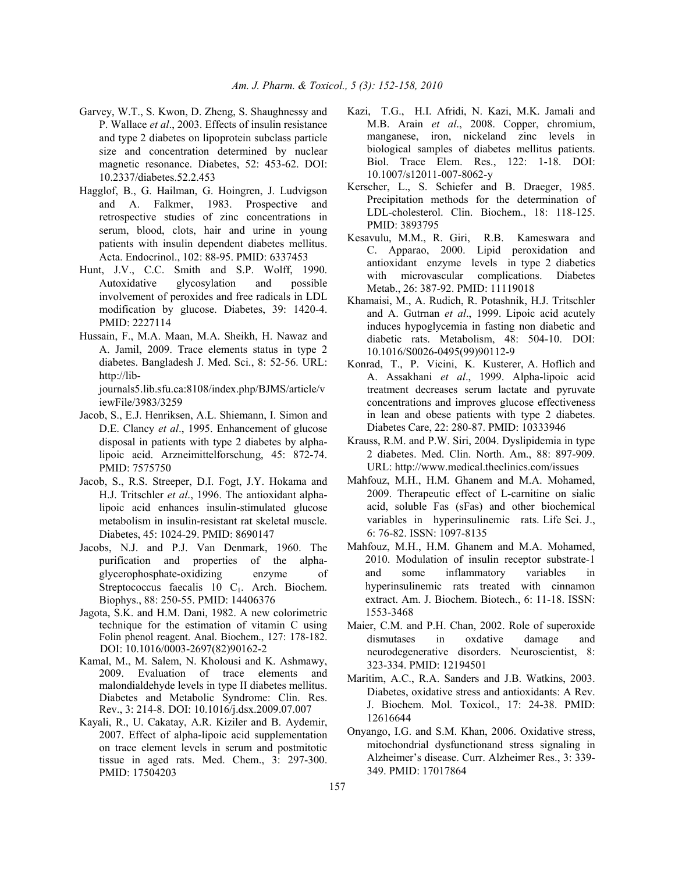- Garvey, W.T., S. Kwon, D. Zheng, S. Shaughnessy and P. Wallace *et al*., 2003. Effects of insulin resistance and type 2 diabetes on lipoprotein subclass particle size and concentration determined by nuclear magnetic resonance. Diabetes, 52: 453-62. DOI: 10.2337/diabetes.52.2.453
- Hagglof, B., G. Hailman, G. Hoingren, J. Ludvigson and A. Falkmer, 1983. Prospective and retrospective studies of zinc concentrations in serum, blood, clots, hair and urine in young patients with insulin dependent diabetes mellitus. Acta. Endocrinol., 102: 88-95. PMID: 6337453
- Hunt, J.V., C.C. Smith and S.P. Wolff, 1990. Autoxidative glycosylation and possible involvement of peroxides and free radicals in LDL modification by glucose. Diabetes, 39: 1420-4. PMID: 2227114
- Hussain, F., M.A. Maan, M.A. Sheikh, H. Nawaz and A. Jamil, 2009. Trace elements status in type 2 diabetes. Bangladesh J. Med. Sci., 8: 52-56. URL: http://lib-

journals5.lib.sfu.ca:8108/index.php/BJMS/article/v iewFile/3983/3259

- Jacob, S., E.J. Henriksen, A.L. Shiemann, I. Simon and D.E. Clancy *et al*., 1995. Enhancement of glucose disposal in patients with type 2 diabetes by alphalipoic acid. Arzneimittelforschung, 45: 872-74. PMID: 7575750
- Jacob, S., R.S. Streeper, D.I. Fogt, J.Y. Hokama and H.J. Tritschler *et al*., 1996. The antioxidant alphalipoic acid enhances insulin-stimulated glucose metabolism in insulin-resistant rat skeletal muscle. Diabetes, 45: 1024-29. PMID: 8690147
- Jacobs, N.J. and P.J. Van Denmark, 1960. The purification and properties of the alphaglycerophosphate-oxidizing enzyme of Streptococcus faecalis  $10\,C_1$ . Arch. Biochem. Biophys., 88: 250-55. PMID: 14406376
- Jagota, S.K. and H.M. Dani, 1982. A new colorimetric technique for the estimation of vitamin C using Folin phenol reagent. Anal. Biochem., 127: 178-182. DOI: 10.1016/0003-2697(82)90162-2
- Kamal, M., M. Salem, N. Kholousi and K. Ashmawy, 2009. Evaluation of trace elements and malondialdehyde levels in type II diabetes mellitus. Diabetes and Metabolic Syndrome: Clin. Res. Rev., 3: 214-8. DOI: 10.1016/j.dsx.2009.07.007
- Kayali, R., U. Cakatay, A.R. Kiziler and B. Aydemir, 2007. Effect of alpha-lipoic acid supplementation on trace element levels in serum and postmitotic tissue in aged rats. Med. Chem., 3: 297-300. PMID: 17504203
- Kazi, T.G., H.I. Afridi, N. Kazi, M.K. Jamali and M.B. Arain *et al*., 2008. Copper, chromium, manganese, iron, nickeland zinc levels in biological samples of diabetes mellitus patients. Biol. Trace Elem. Res., 122: 1-18. DOI: 10.1007/s12011-007-8062-y
- Kerscher, L., S. Schiefer and B. Draeger, 1985. Precipitation methods for the determination of LDL-cholesterol. Clin. Biochem., 18: 118-125. PMID: 3893795
- Kesavulu, M.M., R. Giri, R.B. Kameswara and C. Apparao, 2000. Lipid peroxidation and antioxidant enzyme levels in type 2 diabetics with microvascular complications. Diabetes Metab., 26: 387-92. PMID: 11119018
- Khamaisi, M., A. Rudich, R. Potashnik, H.J. Tritschler and A. Gutrnan *et al*., 1999. Lipoic acid acutely induces hypoglycemia in fasting non diabetic and diabetic rats. Metabolism, 48: 504-10. DOI: 10.1016/S0026-0495(99)90112-9
- Konrad, T., P. Vicini, K. Kusterer, A. Hoflich and A. Assakhani *et al*., 1999. Alpha-lipoic acid treatment decreases serum lactate and pyruvate concentrations and improves glucose effectiveness in lean and obese patients with type 2 diabetes. Diabetes Care, 22: 280-87. PMID: 10333946
- Krauss, R.M. and P.W. Siri, 2004. Dyslipidemia in type 2 diabetes. Med. Clin. North. Am., 88: 897-909. URL: http://www.medical.theclinics.com/issues
- Mahfouz, M.H., H.M. Ghanem and M.A. Mohamed, 2009. Therapeutic effect of L-carnitine on sialic acid, soluble Fas (sFas) and other biochemical variables in hyperinsulinemic rats. Life Sci. J., 6: 76-82. ISSN: 1097-8135
- Mahfouz, M.H., H.M. Ghanem and M.A. Mohamed, 2010. Modulation of insulin receptor substrate-1 and some inflammatory variables in hyperinsulinemic rats treated with cinnamon extract. Am. J. Biochem. Biotech., 6: 11-18. ISSN: 1553-3468
- Maier, C.M. and P.H. Chan, 2002. Role of superoxide dismutases in oxdative damage and neurodegenerative disorders. Neuroscientist, 8: 323-334. PMID: 12194501
- Maritim, A.C., R.A. Sanders and J.B. Watkins, 2003. Diabetes, oxidative stress and antioxidants: A Rev. J. Biochem. Mol. Toxicol., 17: 24-38. PMID: 12616644
- Onyango, I.G. and S.M. Khan, 2006. Oxidative stress, mitochondrial dysfunctionand stress signaling in Alzheimer's disease. Curr. Alzheimer Res., 3: 339- 349. PMID: 17017864